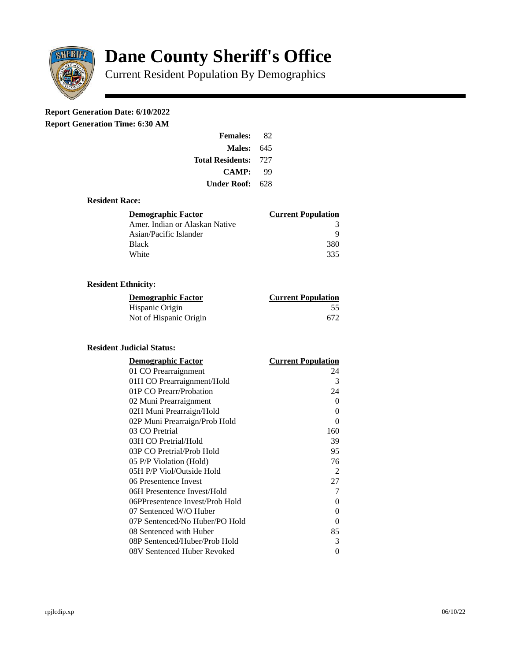

# **Dane County Sheriff's Office**

Current Resident Population By Demographics

# **Report Generation Date: 6/10/2022**

**Report Generation Time: 6:30 AM** 

| <b>Females:</b>         | 82  |
|-------------------------|-----|
| Males:                  | 645 |
| <b>Total Residents:</b> | 727 |
| <b>CAMP:</b>            | qq  |
| Under Roof: \           | 628 |

#### **Resident Race:**

| Demographic Factor             | <b>Current Population</b> |
|--------------------------------|---------------------------|
| Amer. Indian or Alaskan Native | З                         |
| Asian/Pacific Islander         | q                         |
| <b>Black</b>                   | 380                       |
| White                          | 335                       |

## **Resident Ethnicity:**

| <u> Demographic Factor</u> | <b>Current Population</b> |
|----------------------------|---------------------------|
| Hispanic Origin            | 55                        |
| Not of Hispanic Origin     | 672                       |

### **Resident Judicial Status:**

| <b>Demographic Factor</b>       | <b>Current Population</b> |
|---------------------------------|---------------------------|
| 01 CO Prearraignment            | 24                        |
| 01H CO Prearraignment/Hold      | 3                         |
| 01P CO Prearr/Probation         | 24                        |
| 02 Muni Prearraignment          | 0                         |
| 02H Muni Prearraign/Hold        | 0                         |
| 02P Muni Prearraign/Prob Hold   | 0                         |
| 03 CO Pretrial                  | 160                       |
| 03H CO Pretrial/Hold            | 39                        |
| 03P CO Pretrial/Prob Hold       | 95                        |
| 05 P/P Violation (Hold)         | 76                        |
| 05H P/P Viol/Outside Hold       | $\overline{2}$            |
| 06 Presentence Invest           | 27                        |
| 06H Presentence Invest/Hold     | 7                         |
| 06PPresentence Invest/Prob Hold | 0                         |
| 07 Sentenced W/O Huber          | 0                         |
| 07P Sentenced/No Huber/PO Hold  | 0                         |
| 08 Sentenced with Huber         | 85                        |
| 08P Sentenced/Huber/Prob Hold   | 3                         |
| 08V Sentenced Huber Revoked     | 0                         |